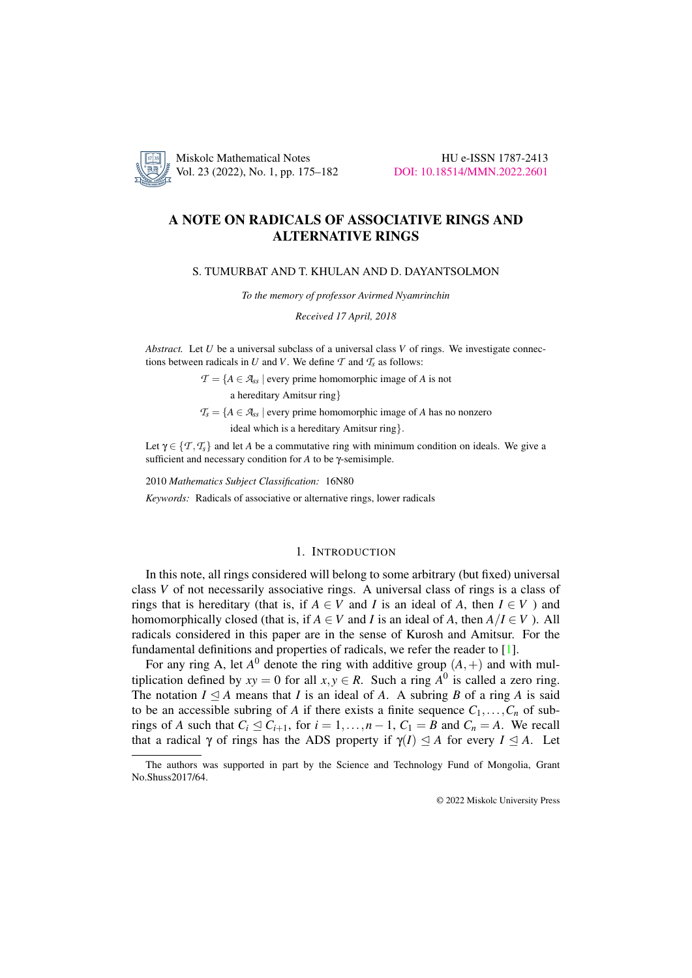

Miskolc Mathematical Notes HU e-ISSN 1787-2413 Vol. 23 (2022), No. 1, pp. 175–182 [DOI: 10.18514/MMN.2022.2601](http://dx.doi.org/10.18514/MMN.2022.2601)

# A NOTE ON RADICALS OF ASSOCIATIVE RINGS AND ALTERNATIVE RINGS

#### S. TUMURBAT AND T. KHULAN AND D. DAYANTSOLMON

*To the memory of professor Avirmed Nyamrinchin*

*Received 17 April, 2018*

*Abstract.* Let *U* be a universal subclass of a universal class *V* of rings. We investigate connections between radicals in *U* and *V*. We define  $\mathcal T$  and  $\mathcal T_s$  as follows:

 $\mathcal{T} = \{A \in \mathcal{A}_{ss} \mid \text{every prime homomorphic image of } A \text{ is not } \}$ 

a hereditary Amitsur ring}

 $T_s = \{A \in \mathcal{A}_{ss} \mid \text{every prime homomorphic image of } A \text{ has no nonzero } \}$ 

ideal which is a hereditary Amitsur ring}.

Let  $\gamma \in \{T, T_s\}$  and let *A* be a commutative ring with minimum condition on ideals. We give a sufficient and necessary condition for *A* to be γ-semisimple.

2010 *Mathematics Subject Classification:* 16N80

*Keywords:* Radicals of associative or alternative rings, lower radicals

# 1. INTRODUCTION

In this note, all rings considered will belong to some arbitrary (but fixed) universal class *V* of not necessarily associative rings. A universal class of rings is a class of rings that is hereditary (that is, if  $A \in V$  and *I* is an ideal of *A*, then  $I \in V$ ) and homomorphically closed (that is, if  $A \in V$  and *I* is an ideal of *A*, then  $A/I \in V$ ). All radicals considered in this paper are in the sense of Kurosh and Amitsur. For the fundamental definitions and properties of radicals, we refer the reader to [\[1\]](#page-6-0).

For any ring A, let  $A^0$  denote the ring with additive group  $(A,+)$  and with multiplication defined by  $xy = 0$  for all  $x, y \in R$ . Such a ring  $A^0$  is called a zero ring. The notation  $I \subseteq A$  means that *I* is an ideal of *A*. A subring *B* of a ring *A* is said to be an accessible subring of *A* if there exists a finite sequence  $C_1, \ldots, C_n$  of subrings of *A* such that  $C_i \leq C_{i+1}$ , for  $i = 1, ..., n-1$ ,  $C_1 = B$  and  $C_n = A$ . We recall that a radical  $\gamma$  of rings has the ADS property if  $\gamma(I) \leq A$  for every  $I \leq A$ . Let

© 2022 Miskolc University Press

The authors was supported in part by the Science and Technology Fund of Mongolia, Grant No.Shuss2017/64.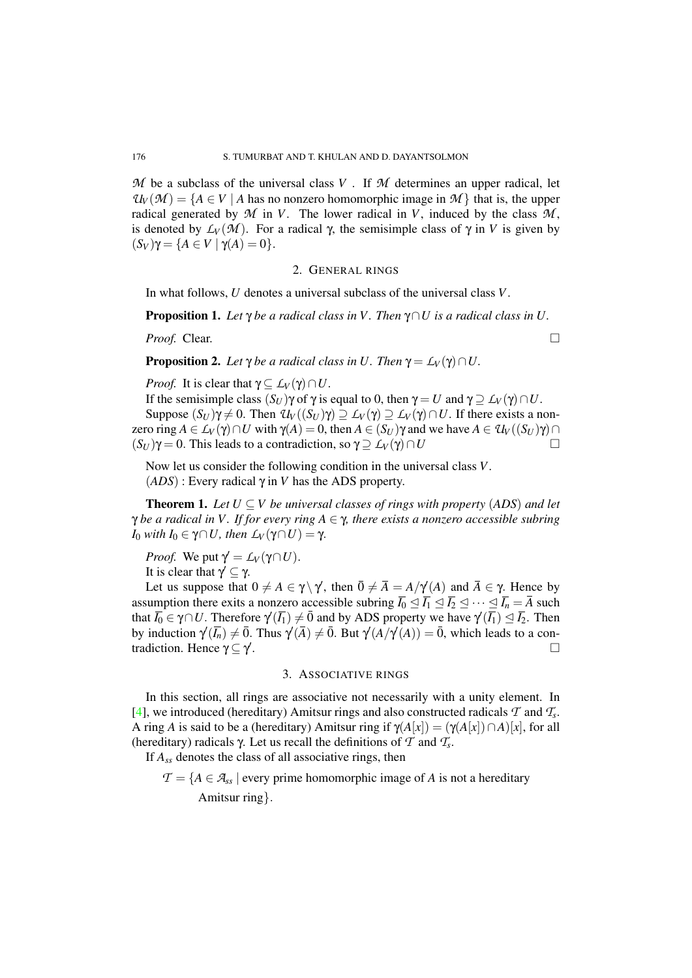$M$  be a subclass of the universal class  $V$ . If  $M$  determines an upper radical, let  $U_V(\mathcal{M}) = \{A \in V \mid A$  has no nonzero homomorphic image in  $\mathcal{M}\}$  that is, the upper radical generated by  $M$  in  $V$ . The lower radical in  $V$ , induced by the class  $M$ , is denoted by  $L_V(\mathcal{M})$ . For a radical  $\gamma$ , the semisimple class of  $\gamma$  in *V* is given by  $(S_V)\gamma = \{A \in V \mid \gamma(A) = 0\}.$ 

#### 2. GENERAL RINGS

In what follows, *U* denotes a universal subclass of the universal class *V*.

Proposition 1. *Let* γ *be a radical class in V . Then* γ∩*U is a radical class in U.*

*Proof.* Clear. □

<span id="page-1-1"></span>**Proposition 2.** *Let*  $\gamma$  *be a radical class in U. Then*  $\gamma = L_V(\gamma) \cap U$ .

*Proof.* It is clear that  $\gamma \subseteq L_V(\gamma) \cap U$ .

If the semisimple class  $(S_U)\gamma$  of  $\gamma$  is equal to 0, then  $\gamma = U$  and  $\gamma \supseteq L_V(\gamma) \cap U$ . Suppose  $(S_U)\gamma \neq 0$ . Then  $\mathcal{U}_V((S_U)\gamma) \supseteq L_V(\gamma) \supseteq L_V(\gamma) \cap U$ . If there exists a non-

zero ring  $A \in L_V(\gamma) \cap U$  with  $\gamma(A) = 0$ , then  $A \in (S_U)\gamma$  and we have  $A \in \mathcal{U}_V((S_U)\gamma) \cap U$  $(S_U)\gamma = 0$ . This leads to a contradiction, so  $\gamma \supseteq L_V(\gamma) \cap U$ 

Now let us consider the following condition in the universal class *V*. (*ADS*) : Every radical γ in *V* has the ADS property.

<span id="page-1-0"></span>**Theorem 1.** Let  $U \subseteq V$  be universal classes of rings with property (ADS) and let γ *be a radical in V . If for every ring A* ∈ γ*, there exists a nonzero accessible subring I*<sup>0</sup> *with I*<sup>0</sup> ∈ γ∩*U, then*  $L_V$ (γ∩*U*) = γ.

*Proof.* We put  $\gamma' = L_V(\gamma \cap U)$ .

It is clear that  $\gamma' \subseteq \gamma$ .

Let us suppose that  $0 \neq A \in \gamma \backslash \gamma'$ , then  $\overline{0} \neq \overline{A} = A/\gamma'(A)$  and  $\overline{A} \in \gamma$ . Hence by assumption there exits a nonzero accessible subring  $\overline{I_0} \leq \overline{I_1} \leq \overline{I_2} \leq \cdots \leq \overline{I_n} = \overline{A}$  such that  $\overline{I_0} \in \gamma \cap U$ . Therefore  $\gamma'(\overline{I_1}) \neq \overline{0}$  and by ADS property we have  $\gamma'(\overline{I_1}) \leq \overline{I_2}$ . Then by induction  $\gamma'(\bar{I}_n) \neq \bar{0}$ . Thus  $\gamma'(\bar{A}) \neq \bar{0}$ . But  $\gamma'(A/\gamma'(A)) = \bar{0}$ , which leads to a contradiction. Hence  $\gamma \subseteq \gamma'$ . □

#### 3. ASSOCIATIVE RINGS

In this section, all rings are associative not necessarily with a unity element. In [\[4\]](#page-6-1), we introduced (hereditary) Amitsur rings and also constructed radicals *T* and *T<sup>s</sup>* . A ring *A* is said to be a (hereditary) Amitsur ring if  $\gamma(A[x]) = (\gamma(A[x]) \cap A)[x]$ , for all (hereditary) radicals γ. Let us recall the definitions of *T* and *T<sup>s</sup>* .

If *Ass* denotes the class of all associative rings, then

*T* = {*A* ∈  $A$ <sub>*ss*</sub> | every prime homomorphic image of *A* is not a hereditary Amitsur ring}.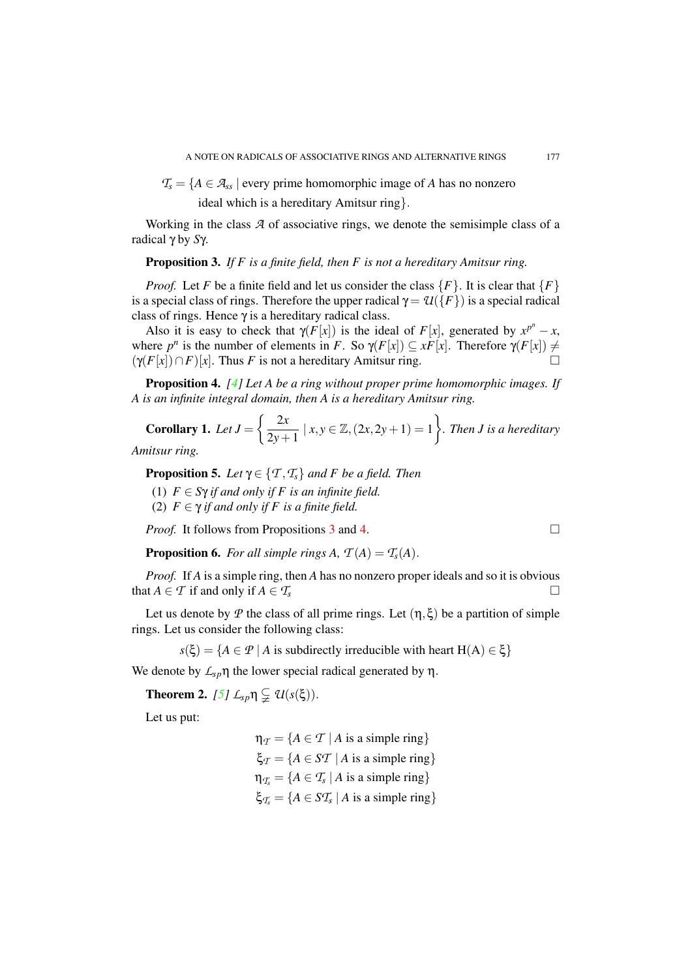$T_s = \{A \in \mathcal{A}_{ss} \mid \text{every prime homomorphic image of } A \text{ has no nonzero } \}$ 

ideal which is a hereditary Amitsur ring}.

Working in the class *A* of associative rings, we denote the semisimple class of a radical γ by *S*γ.

### <span id="page-2-0"></span>Proposition 3. *If F is a finite field, then F is not a hereditary Amitsur ring.*

*Proof.* Let *F* be a finite field and let us consider the class  $\{F\}$ . It is clear that  $\{F\}$ is a special class of rings. Therefore the upper radical  $\gamma = \mathcal{U}(\{F\})$  is a special radical class of rings. Hence  $\gamma$  is a hereditary radical class.

Also it is easy to check that  $\gamma(F[x])$  is the ideal of  $F[x]$ , generated by  $x^{p^n} - x$ , where  $p^n$  is the number of elements in *F*. So  $\gamma(F[x]) \subseteq xF[x]$ . Therefore  $\gamma(F[x]) \neq$  $(\gamma(F[x]) \cap F)[x]$ . Thus *F* is not a hereditary Amitsur ring.

<span id="page-2-1"></span>Proposition 4. *[\[4\]](#page-6-1) Let A be a ring without proper prime homomorphic images. If A is an infinite integral domain, then A is a hereditary Amitsur ring.*

<span id="page-2-3"></span>**Corollary 1.** Let 
$$
J = \left\{ \frac{2x}{2y+1} \mid x, y \in \mathbb{Z}, (2x, 2y+1) = 1 \right\}
$$
. Then *J* is a hereditary  
mixsur ring.

*Amitsur ring.*

<span id="page-2-5"></span>**Proposition 5.** *Let*  $\gamma \in \{T, T_s\}$  *and F be a field. Then* 

- (1)  $F \in S$  $\gamma$  *if and only if*  $F$  *is an infinite field.*
- (2)  $F \in \gamma$  *if and only if* F *is a finite field.*

*Proof.* It follows from Propositions [3](#page-2-0) and [4.](#page-2-1)  $\Box$ 

<span id="page-2-2"></span>**Proposition 6.** *For all simple rings A,*  $T(A) = T_s(A)$ .

*Proof.* If *A* is a simple ring, then *A* has no nonzero proper ideals and so it is obvious that *A*  $\in$  *T* if and only if *A*  $\in$  *T*<sub>s</sub>

Let us denote by *P* the class of all prime rings. Let  $(\eta, \xi)$  be a partition of simple rings. Let us consider the following class:

 $s(\xi) = \{A \in \mathcal{P} \mid A \text{ is subdirectly irreducible with heart } H(A) \in \xi\}$ 

We denote by  $\mathcal{L}_{sp} \eta$  the lower special radical generated by  $\eta$ .

<span id="page-2-4"></span>**Theorem 2.** *[\[5\]](#page-7-0)*  $L_{sp} \eta \subsetneq U(s(\xi))$ .

Let us put:

 $\eta_{\tau} = \{A \in \mathcal{T} \mid A \text{ is a simple ring}\}\$  $\xi_{\tau} = \{A \in S\mathcal{T} \mid A \text{ is a simple ring}\}\$  $\eta_{T_s} = \{A \in T_s \mid A \text{ is a simple ring}\}$  $\xi_{T_s} = \{ A \in ST_s \mid A \text{ is a simple ring} \}$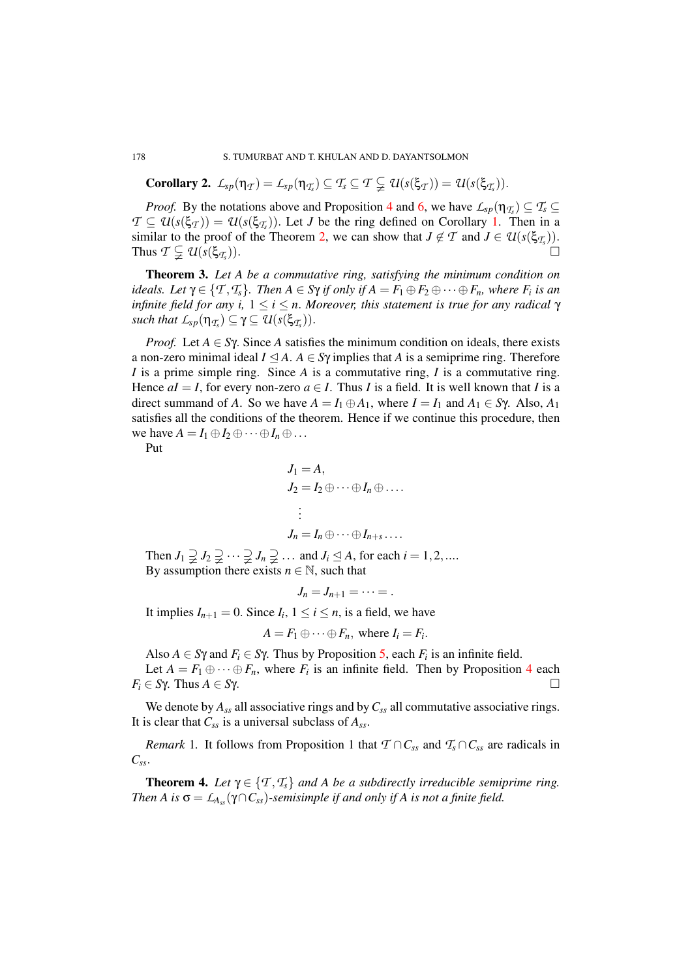**Corollary 2.**  $L_{sp}(\eta_{\mathcal{T}}) = L_{sp}(\eta_{\mathcal{T}_s}) \subseteq \mathcal{T}_s \subseteq \mathcal{T} \subsetneqq \mathcal{U}(s(\xi_{\mathcal{T}})) = \mathcal{U}(s(\xi_{\mathcal{T}_s})).$ 

*Proof.* By the notations above and Proposition [4](#page-2-1) and [6,](#page-2-2) we have  $L_{sp}(\eta_{T_s}) \subseteq T_s \subseteq$  $\mathcal{T} \subseteq \mathcal{U}(s(\xi_{\mathcal{T}})) = \mathcal{U}(s(\xi_{\mathcal{T}_s}))$ . Let *J* be the ring defined on Corollary [1.](#page-2-3) Then in a similar to the proof of the Theorem [2,](#page-2-4) we can show that  $J \notin \mathcal{T}$  and  $J \in \mathcal{U}(s(\xi_{\mathcal{T}_s}))$ . Thus  $\mathcal{T} \subsetneq \mathcal{U}(s(\xi_{\mathcal{T}_s}))$ . )).

Theorem 3. *Let A be a commutative ring, satisfying the minimum condition on ideals.* Let  $\gamma \in \{T, T_s\}$ . Then  $A \in S\gamma$  *if only if*  $A = F_1 \oplus F_2 \oplus \cdots \oplus F_n$ , where  $F_i$  is an *infinite field for any i,* 1 ≤ *i* ≤ *n*. *Moreover, this statement is true for any radical* γ  $\mathcal{L}_{\text{sp}}(\eta_{\mathcal{I}_s}) \subseteq \gamma \subseteq \mathcal{U}(\textbf{s}(\xi_{\mathcal{I}_s})).$ 

*Proof.* Let  $A \in S\gamma$ . Since A satisfies the minimum condition on ideals, there exists a non-zero minimal ideal  $I \subseteq A$ .  $A \in S\gamma$  implies that *A* is a semiprime ring. Therefore *I* is a prime simple ring. Since *A* is a commutative ring, *I* is a commutative ring. Hence  $aI = I$ , for every non-zero  $a \in I$ . Thus *I* is a field. It is well known that *I* is a direct summand of *A*. So we have  $A = I_1 \oplus A_1$ , where  $I = I_1$  and  $A_1 \in S\gamma$ . Also,  $A_1$ satisfies all the conditions of the theorem. Hence if we continue this procedure, then we have  $A = I_1 \oplus I_2 \oplus \cdots \oplus I_n \oplus \ldots$ 

Put

$$
J_1 = A,
$$
  
\n
$$
J_2 = I_2 \oplus \cdots \oplus I_n \oplus \cdots
$$
  
\n
$$
\vdots
$$
  
\n
$$
J_n = I_n \oplus \cdots \oplus I_{n+s} \cdots
$$

Then  $J_1 \supsetneq J_2 \supsetneq \cdots \supsetneq J_n \supsetneq \cdots$  and  $J_i \subseteq A$ , for each  $i = 1, 2, \ldots$ By assumption there exists  $n \in \mathbb{N}$ , such that

 $J_n = J_{n+1} = \cdots =$ .

It implies  $I_{n+1} = 0$ . Since  $I_i$ ,  $1 \le i \le n$ , is a field, we have

$$
A = F_1 \oplus \cdots \oplus F_n, \text{ where } I_i = F_i.
$$

Also  $A \in S\gamma$  and  $F_i \in S\gamma$ . Thus by Proposition [5,](#page-2-5) each  $F_i$  is an infinite field. Let  $A = F_1 \oplus \cdots \oplus F_n$ , where  $F_i$  is an infinite field. Then by Proposition [4](#page-2-1) each

 $F_i \in S\gamma$ . Thus  $A \in S\gamma$ .

We denote by  $A_{ss}$  all associative rings and by  $C_{ss}$  all commutative associative rings. It is clear that *Css* is a universal subclass of *Ass*.

*Remark* 1. It follows from Proposition 1 that  $T \cap C_{ss}$  and  $T_s \cap C_{ss}$  are radicals in *Css*.

<span id="page-3-0"></span>**Theorem 4.** Let  $\gamma \in \{T, T_s\}$  and A be a subdirectly irreducible semiprime ring. *Then A is*  $\sigma = \mathcal{L}_{A_{ss}}(\gamma \cap C_{ss})$ -semisimple if and only if A is not a finite field.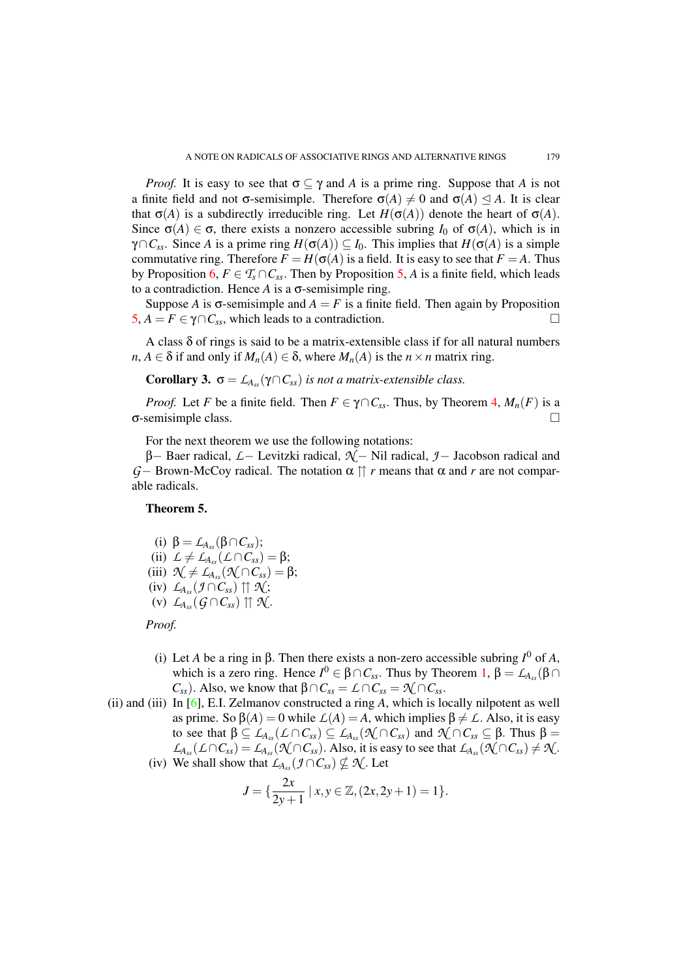*Proof.* It is easy to see that  $\sigma \subseteq \gamma$  and *A* is a prime ring. Suppose that *A* is not a finite field and not  $\sigma$ -semisimple. Therefore  $\sigma(A) \neq 0$  and  $\sigma(A) \leq A$ . It is clear that  $\sigma(A)$  is a subdirectly irreducible ring. Let  $H(\sigma(A))$  denote the heart of  $\sigma(A)$ . Since  $\sigma(A) \in \sigma$ , there exists a nonzero accessible subring *I*<sub>0</sub> of  $\sigma(A)$ , which is in γ∩*Css*. Since *A* is a prime ring *H*(σ(*A*)) ⊆ *I*0. This implies that *H*(σ(*A*) is a simple commutative ring. Therefore  $F = H(\sigma(A))$  is a field. It is easy to see that  $F = A$ . Thus by Proposition [6,](#page-2-2)  $F \in \mathcal{T}_{s} \cap C_{ss}$ . Then by Proposition [5,](#page-2-5) *A* is a finite field, which leads to a contradiction. Hence *A* is a σ-semisimple ring.

Suppose *A* is  $\sigma$ -semisimple and  $A = F$  is a finite field. Then again by Proposition  $5, A = F \in \gamma \cap C_{ss}$  $5, A = F \in \gamma \cap C_{ss}$ , which leads to a contradiction.  $\square$ 

A class  $\delta$  of rings is said to be a matrix-extensible class if for all natural numbers  $n, A \in \delta$  if and only if  $M_n(A) \in \delta$ , where  $M_n(A)$  is the  $n \times n$  matrix ring.

**Corollary 3.**  $\sigma = L_{A_{ss}}(\gamma \cap C_{ss})$  *is not a matrix-extensible class.* 

*Proof.* Let *F* be a finite field. Then  $F \in \gamma \cap C_{ss}$ . Thus, by Theorem [4,](#page-3-0)  $M_n(F)$  is a σ-semisimple class. □

For the next theorem we use the following notations:

β− Baer radical, *L*− Levitzki radical, *N* − Nil radical, *J*− Jacobson radical and *G*− Brown-McCoy radical. The notation  $\alpha$  η *r* means that  $\alpha$  and *r* are not comparable radicals.

# Theorem 5.

(i) 
$$
\beta = \mathcal{L}_{A_{ss}}(\beta \cap C_{ss});
$$

- $(iii)$   $\mathcal{L} \neq \mathcal{L}_{A_{ss}}(\mathcal{L} \cap C_{ss}) = \beta;$
- $(iii)$   $\mathcal{N} \neq L_{A_{ss}}(\mathcal{N} \cap C_{ss}) = \beta;$
- $(L_{A_{ss}}(f\cap C_{ss})\uparrow\uparrow \mathcal{N};$
- $(V)$   $\mathcal{L}_{A_{ss}}(\mathcal{G} \cap C_{ss}) \uparrow \uparrow \mathcal{K}.$

# *Proof.*

- (i) Let *A* be a ring in β. Then there exists a non-zero accessible subring *I* <sup>0</sup> of *A*, which is a zero ring. Hence  $I^0 \in \beta \cap C_{ss}$ . Thus by Theorem [1,](#page-1-0)  $\beta = \mathcal{L}_{A_{ss}}(\beta \cap C_{ss})$ *C*<sub>*ss*</sub>). Also, we know that β∩*C*<sub>*ss*</sub> = *L* ∩ *C*<sub>*ss*</sub> =  $\mathcal{N}$  ∩ *C*<sub>*ss*</sub>.
- (ii) and (iii) In [\[6\]](#page-7-1), E.I. Zelmanov constructed a ring *A*, which is locally nilpotent as well as prime. So  $\beta(A) = 0$  while  $\mathcal{L}(A) = A$ , which implies  $\beta \neq \mathcal{L}$ . Also, it is easy to see that  $β ⊆ L_{A_{ss}}(L ∩ C_{ss}) ⊆ L_{A_{ss}}(N(∩ C_{ss})$  and  $N(∩ C_{ss} ⊆ β$ . Thus  $β =$  $L_{A_{ss}}(L \cap C_{ss}) = L_{A_{ss}}(\mathcal{N} \cap C_{ss})$ . Also, it is easy to see that  $L_{A_{ss}}(\mathcal{N} \cap C_{ss}) \neq \mathcal{N}$ .
	- (iv) We shall show that  $L_{A_{ss}}(\mathcal{I} \cap C_{ss}) \nsubseteq \mathcal{N}$ . Let

$$
J = \{ \frac{2x}{2y+1} \mid x, y \in \mathbb{Z}, (2x, 2y+1) = 1 \}.
$$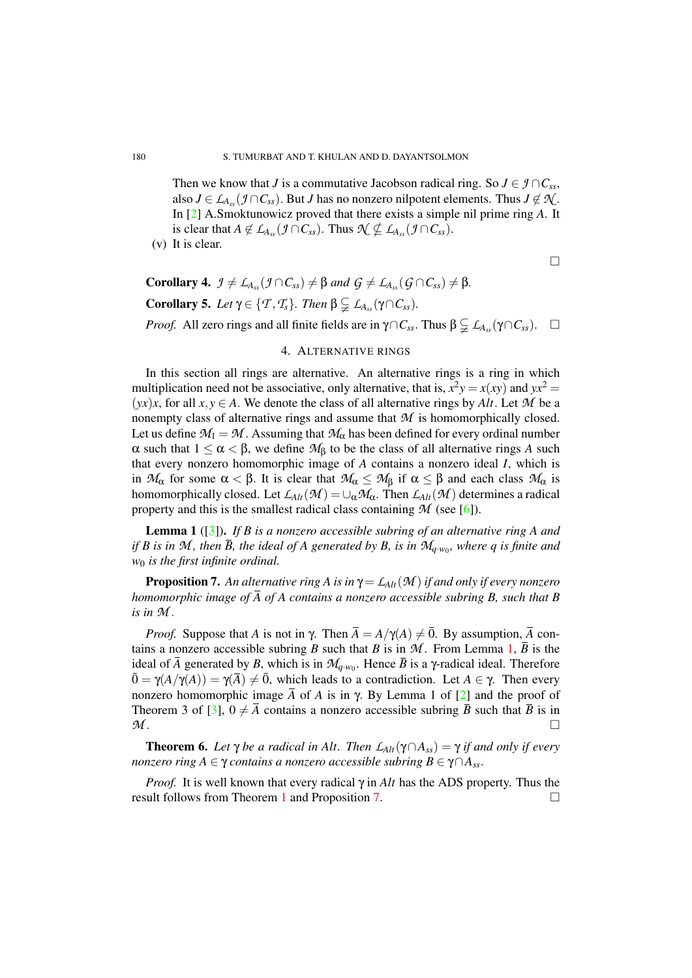Then we know that *J* is a commutative Jacobson radical ring. So  $J \in \mathcal{I} \cap C_{ss}$ , also *J* ∈ *L*<sub>*Ass*</sub> (*J* ∩ *C*<sub>*ss*</sub>). But *J* has no nonzero nilpotent elements. Thus *J* ∉  $\mathcal{N}$ . In [\[2\]](#page-6-2) A.Smoktunowicz proved that there exists a simple nil prime ring *A*. It is clear that  $A \notin L_{A_{ss}}(\mathcal{J} \cap C_{ss})$ . Thus  $\mathcal{N} \nsubseteq L_{A_{ss}}(\mathcal{J} \cap C_{ss})$ .

(v) It is clear.

 $\Box$ 

**Corollary 4.**  $\mathcal{I} \neq \mathcal{L}_{A_{ss}}(\mathcal{I} \cap C_{ss}) \neq \beta$  and  $\mathcal{G} \neq \mathcal{L}_{A_{ss}}(\mathcal{G} \cap C_{ss}) \neq \beta$ . **Corollary 5.** Let  $\gamma \in \{T, T_s\}$ . Then  $\beta \subsetneq L_{A_{ss}}(\gamma \cap C_{ss})$ . *Proof.* All zero rings and all finite fields are in  $\gamma \cap C_{ss}$ . Thus  $\beta \subsetneq L_{A_{ss}}(\gamma \cap C_{ss})$ . □

# 4. ALTERNATIVE RINGS

In this section all rings are alternative. An alternative rings is a ring in which multiplication need not be associative, only alternative, that is,  $x^2y = x(xy)$  and  $yx^2 =$  $(yx)x$ , for all  $x, y \in A$ . We denote the class of all alternative rings by Alt. Let M be a nonempty class of alternative rings and assume that *M* is homomorphically closed. Let us define  $M_1 = M$ . Assuming that  $M_\alpha$  has been defined for every ordinal number α such that 1 ≤ α < β, we define *M*<sup>β</sup> to be the class of all alternative rings *A* such that every nonzero homomorphic image of *A* contains a nonzero ideal *I*, which is in  $M_\alpha$  for some  $\alpha < \beta$ . It is clear that  $M_\alpha \leq M_\beta$  if  $\alpha \leq \beta$  and each class  $M_\alpha$  is homomorphically closed. Let  $\mathcal{L}_{Alt}(\mathcal{M}) = \cup_{\alpha} \mathcal{M}_{\alpha}$ . Then  $\mathcal{L}_{Alt}(\mathcal{M})$  determines a radical property and this is the smallest radical class containing  $M$  (see [\[6\]](#page-7-1)).

<span id="page-5-0"></span>Lemma 1 ([\[3\]](#page-6-3)). *If B is a nonzero accessible subring of an alternative ring A and if B is in M, then*  $\overline{B}$ *, the ideal of A generated by B, is in*  $\mathcal{M}_{q \cdot w_0}$ *, where*  $q$  *is finite and w*<sup>0</sup> *is the first infinite ordinal.*

<span id="page-5-1"></span>**Proposition 7.** An alternative ring A is in  $\gamma = L_{Alt}(\mathcal{M})$  if and only if every nonzero *homomorphic image of A of A contains a nonzero accessible subring B, such that B is in M* .

*Proof.* Suppose that *A* is not in  $\gamma$ . Then  $\overline{A} = A/\gamma(A) \neq \overline{0}$ . By assumption,  $\overline{A}$  contains a nonzero accessible subring *B* such that *B* is in  $M$ . From Lemma [1,](#page-5-0)  $\overline{B}$  is the ideal of  $\overline{A}$  generated by  $B$ , which is in  $\mathcal{M}_{q \cdot w_0}$ . Hence  $\overline{B}$  is a  $\gamma$ -radical ideal. Therefore  $\overline{0} = \gamma(A/\gamma(A)) = \gamma(\overline{A}) \neq \overline{0}$ , which leads to a contradiction. Let  $A \in \gamma$ . Then every nonzero homomorphic image  $\overline{A}$  of *A* is in γ. By Lemma 1 of [\[2\]](#page-6-2) and the proof of Theorem 3 of [\[3\]](#page-6-3),  $0 \neq \overline{A}$  contains a nonzero accessible subring  $\overline{B}$  such that  $\overline{B}$  is in  $M$  .

<span id="page-5-2"></span>**Theorem 6.** Let  $\gamma$  be a radical in Alt. Then  $\mathcal{L}_{Alt}(\gamma \cap A_{ss}) = \gamma$  if and only if every *nonzero ring*  $A \in \gamma$  *contains a nonzero accessible subring*  $B \in \gamma \cap A_{ss}$ .

*Proof.* It is well known that every radical γ in *Alt* has the ADS property. Thus the result follows from Theorem [1](#page-1-0) and Proposition [7.](#page-5-1)  $\Box$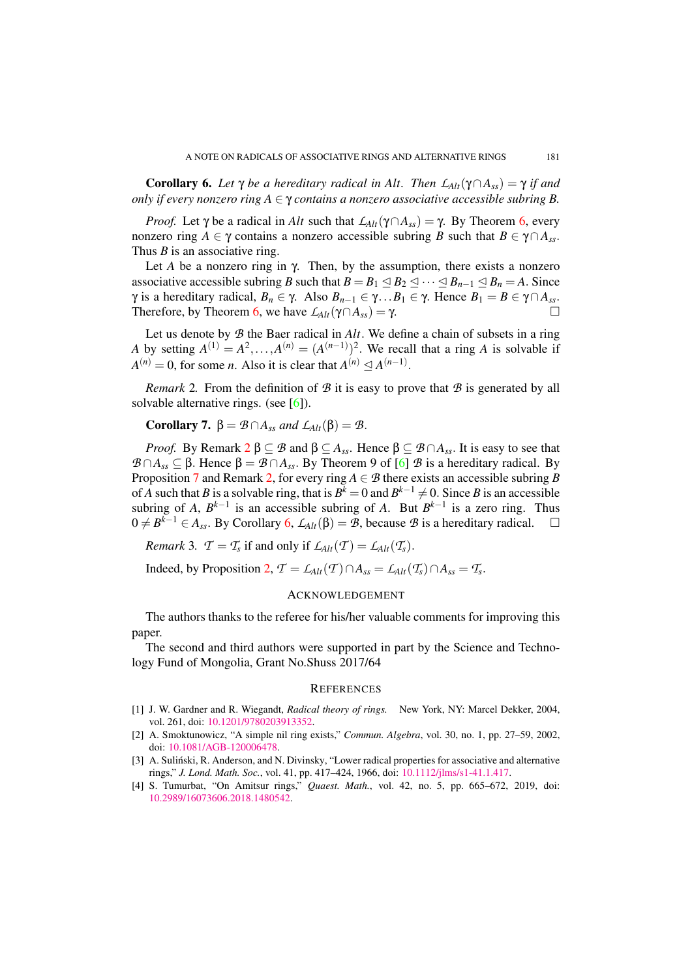<span id="page-6-5"></span>Corollary 6. *Let*  $\gamma$  *be a hereditary radical in Alt. Then*  $L_{Alt}(\gamma \cap A_{ss}) = \gamma$  *if and only if every nonzero ring*  $A \in \gamma$  *contains a nonzero associative accessible subring* B.

*Proof.* Let  $\gamma$  be a radical in *Alt* such that  $L_{Alt}(\gamma \cap A_{ss}) = \gamma$ . By Theorem [6,](#page-5-2) every nonzero ring *A* ∈  $\gamma$  contains a nonzero accessible subring *B* such that  $B \in \gamma \cap A_{ss}$ . Thus *B* is an associative ring.

Let *A* be a nonzero ring in  $\gamma$ . Then, by the assumption, there exists a nonzero associative accessible subring *B* such that  $B = B_1 \leq B_2 \leq \cdots \leq B_{n-1} \leq B_n = A$ . Since *γ* is a hereditary radical, *B<sub>n</sub>* ∈ γ. Also *B<sub>n−1</sub>* ∈ γ. . *B*<sub>1</sub> ∈ γ. Hence *B*<sub>1</sub> = *B* ∈ γ∩*A*<sub>*ss*</sub>. Therefore, by Theorem [6,](#page-5-2) we have  $\mathcal{L}_{Alt}(\gamma \cap A_{ss}) = \gamma$ .

Let us denote by *B* the Baer radical in *Alt*. We define a chain of subsets in a ring *A* by setting  $A^{(1)} = A^2, \ldots, A^{(n)} = (A^{(n-1)})^2$ . We recall that a ring *A* is solvable if  $A^{(n)} = 0$ , for some *n*. Also it is clear that  $A^{(n)} \leq A^{(n-1)}$ .

<span id="page-6-4"></span>*Remark* 2. From the definition of  $\mathcal{B}$  it is easy to prove that  $\mathcal{B}$  is generated by all solvable alternative rings. (see [\[6\]](#page-7-1)).

**Corollary 7.**  $\beta = \mathcal{B} \cap A_{ss}$  *and*  $L_{Alt}(\beta) = \mathcal{B}$ .

*Proof.* By Remark  $2 \beta \subseteq B$  $2 \beta \subseteq B$  and  $\beta \subseteq A_{ss}$ . Hence  $\beta \subseteq B \cap A_{ss}$ . It is easy to see that *B* ∩*A*<sub>*ss*</sub> ⊆ β. Hence β = *B* ∩*A*<sub>*ss*</sub>. By Theorem 9 of [\[6\]](#page-7-1) *B* is a hereditary radical. By Proposition [7](#page-5-1) and Remark [2,](#page-6-4) for every ring  $A \in \mathcal{B}$  there exists an accessible subring *B* of *A* such that *B* is a solvable ring, that is  $B^k = 0$  and  $B^{k-1} \neq 0$ . Since *B* is an accessible subring of *A*,  $B^{k-1}$  is an accessible subring of *A*. But  $B^{k-1}$  is a zero ring. Thus  $0 \neq B^{k-1} \in A_{ss}$ . By Corollary [6,](#page-6-5)  $\mathcal{L}_{Alt}(\beta) = \mathcal{B}$ , because  $\mathcal{B}$  is a hereditary radical.  $\square$ 

*Remark* 3*.*  $\mathcal{T} = \mathcal{T}_s$  if and only if  $\mathcal{L}_{Alt}(\mathcal{T}) = \mathcal{L}_{Alt}(\mathcal{T}_s)$ .

Indeed, by Proposition [2,](#page-1-1)  $\mathcal{T} = \mathcal{L}_{Alt}(\mathcal{T}) \cap A_{ss} = \mathcal{L}_{Alt}(\mathcal{T}_s) \cap A_{ss} = \mathcal{T}_s$ .

#### ACKNOWLEDGEMENT

The authors thanks to the referee for his/her valuable comments for improving this paper.

The second and third authors were supported in part by the Science and Technology Fund of Mongolia, Grant No.Shuss 2017/64

#### **REFERENCES**

- <span id="page-6-0"></span>[1] J. W. Gardner and R. Wiegandt, *Radical theory of rings.* New York, NY: Marcel Dekker, 2004, vol. 261, doi: [10.1201/9780203913352.](http://dx.doi.org/10.1201/9780203913352)
- <span id="page-6-2"></span>[2] A. Smoktunowicz, "A simple nil ring exists," *Commun. Algebra*, vol. 30, no. 1, pp. 27–59, 2002, doi: [10.1081/AGB-120006478.](http://dx.doi.org/10.1081/AGB-120006478)
- <span id="page-6-3"></span>[3] A. Suliński, R. Anderson, and N. Divinsky, "Lower radical properties for associative and alternative rings," *J. Lond. Math. Soc.*, vol. 41, pp. 417–424, 1966, doi: [10.1112/jlms/s1-41.1.417.](http://dx.doi.org/10.1112/jlms/s1-41.1.417)
- <span id="page-6-1"></span>[4] S. Tumurbat, "On Amitsur rings," *Quaest. Math.*, vol. 42, no. 5, pp. 665–672, 2019, doi: [10.2989/16073606.2018.1480542.](http://dx.doi.org/10.2989/16073606.2018.1480542)